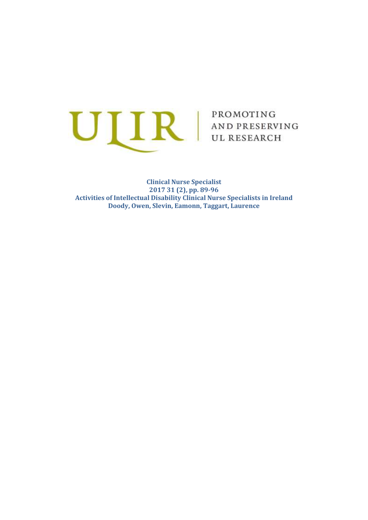

**Clinical Nurse Specialist 2017 31 (2), pp. 89-96 Activities of Intellectual Disability Clinical Nurse Specialists in Ireland Doody, Owen, Slevin, Eamonn, Taggart, Laurence**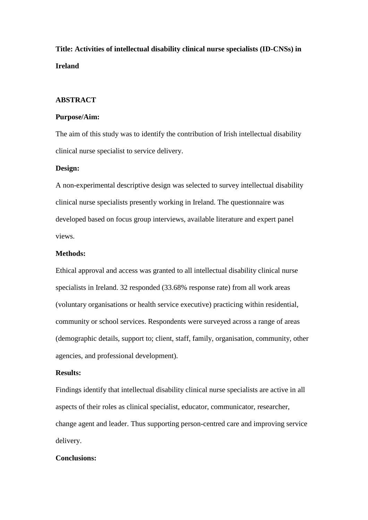**Title: Activities of intellectual disability clinical nurse specialists (ID-CNSs) in Ireland** 

## **ABSTRACT**

## **Purpose/Aim:**

The aim of this study was to identify the contribution of Irish intellectual disability clinical nurse specialist to service delivery.

#### **Design:**

A non-experimental descriptive design was selected to survey intellectual disability clinical nurse specialists presently working in Ireland. The questionnaire was developed based on focus group interviews, available literature and expert panel views.

## **Methods:**

Ethical approval and access was granted to all intellectual disability clinical nurse specialists in Ireland. 32 responded (33.68% response rate) from all work areas (voluntary organisations or health service executive) practicing within residential, community or school services. Respondents were surveyed across a range of areas (demographic details, support to; client, staff, family, organisation, community, other agencies, and professional development).

#### **Results:**

Findings identify that intellectual disability clinical nurse specialists are active in all aspects of their roles as clinical specialist, educator, communicator, researcher, change agent and leader. Thus supporting person-centred care and improving service delivery.

## **Conclusions:**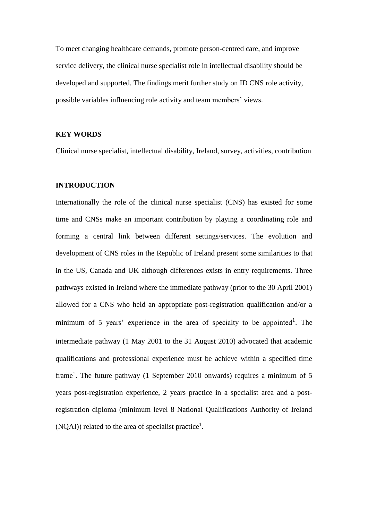To meet changing healthcare demands, promote person-centred care, and improve service delivery, the clinical nurse specialist role in intellectual disability should be developed and supported. The findings merit further study on ID CNS role activity, possible variables influencing role activity and team members' views.

## **KEY WORDS**

Clinical nurse specialist, intellectual disability, Ireland, survey, activities, contribution

## **INTRODUCTION**

Internationally the role of the clinical nurse specialist (CNS) has existed for some time and CNSs make an important contribution by playing a coordinating role and forming a central link between different settings/services. The evolution and development of CNS roles in the Republic of Ireland present some similarities to that in the US, Canada and UK although differences exists in entry requirements. Three pathways existed in Ireland where the immediate pathway (prior to the 30 April 2001) allowed for a CNS who held an appropriate post-registration qualification and/or a minimum of 5 years' experience in the area of specialty to be appointed<sup>1</sup>. The intermediate pathway (1 May 2001 to the 31 August 2010) advocated that academic qualifications and professional experience must be achieve within a specified time frame<sup>1</sup>. The future pathway (1 September 2010 onwards) requires a minimum of 5 years post-registration experience, 2 years practice in a specialist area and a postregistration diploma (minimum level 8 National Qualifications Authority of Ireland (NQAI)) related to the area of specialist practice<sup>1</sup>.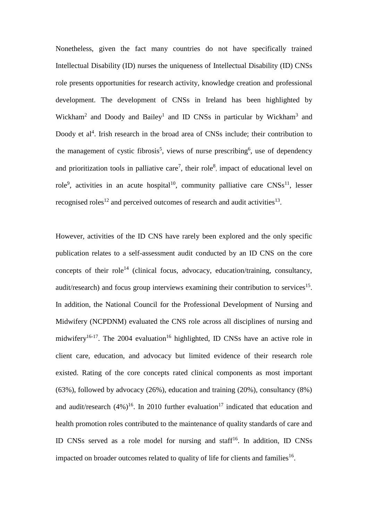Nonetheless, given the fact many countries do not have specifically trained Intellectual Disability (ID) nurses the uniqueness of Intellectual Disability (ID) CNSs role presents opportunities for research activity, knowledge creation and professional development. The development of CNSs in Ireland has been highlighted by Wickham<sup>2</sup> and Doody and Bailey<sup>1</sup> and ID CNSs in particular by Wickham<sup>3</sup> and Doody et al<sup>4</sup>. Irish research in the broad area of CNSs include; their contribution to the management of cystic fibrosis<sup>5</sup>, views of nurse prescribing<sup>6</sup>, use of dependency and prioritization tools in palliative care<sup>7</sup>, their role<sup>8</sup>, impact of educational level on role<sup>9</sup>, activities in an acute hospital<sup>10</sup>, community palliative care  $CNSS<sup>11</sup>$ , lesser recognised roles<sup>12</sup> and perceived outcomes of research and audit activities<sup>13</sup>.

However, activities of the ID CNS have rarely been explored and the only specific publication relates to a self-assessment audit conducted by an ID CNS on the core concepts of their role<sup>14</sup> (clinical focus, advocacy, education/training, consultancy, audit/research) and focus group interviews examining their contribution to services<sup>15</sup>. In addition, the National Council for the Professional Development of Nursing and Midwifery (NCPDNM) evaluated the CNS role across all disciplines of nursing and midwifery<sup>16-17</sup>. The 2004 evaluation<sup>16</sup> highlighted, ID CNSs have an active role in client care, education, and advocacy but limited evidence of their research role existed. Rating of the core concepts rated clinical components as most important (63%), followed by advocacy (26%), education and training (20%), consultancy (8%) and audit/research  $(4\%)^{16}$ . In 2010 further evaluation<sup>17</sup> indicated that education and health promotion roles contributed to the maintenance of quality standards of care and ID CNSs served as a role model for nursing and staff<sup>16</sup>. In addition, ID CNSs impacted on broader outcomes related to quality of life for clients and families<sup>16</sup>.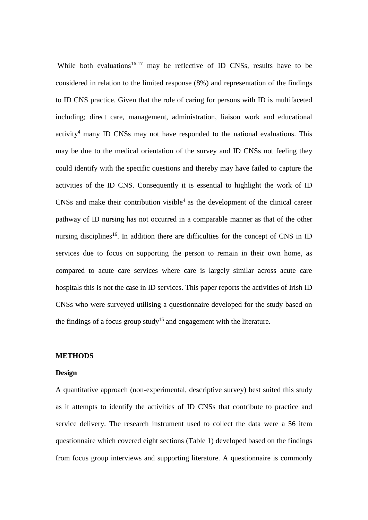While both evaluations<sup>16-17</sup> may be reflective of ID CNSs, results have to be considered in relation to the limited response (8%) and representation of the findings to ID CNS practice. Given that the role of caring for persons with ID is multifaceted including; direct care, management, administration, liaison work and educational  $\arcsin y^4$  many ID CNSs may not have responded to the national evaluations. This may be due to the medical orientation of the survey and ID CNSs not feeling they could identify with the specific questions and thereby may have failed to capture the activities of the ID CNS. Consequently it is essential to highlight the work of ID  $CNSS$  and make their contribution visible<sup>4</sup> as the development of the clinical career pathway of ID nursing has not occurred in a comparable manner as that of the other nursing disciplines<sup>16</sup>. In addition there are difficulties for the concept of CNS in ID services due to focus on supporting the person to remain in their own home, as compared to acute care services where care is largely similar across acute care hospitals this is not the case in ID services. This paper reports the activities of Irish ID CNSs who were surveyed utilising a questionnaire developed for the study based on the findings of a focus group study<sup>15</sup> and engagement with the literature.

#### **METHODS**

#### **Design**

A quantitative approach (non-experimental, descriptive survey) best suited this study as it attempts to identify the activities of ID CNSs that contribute to practice and service delivery. The research instrument used to collect the data were a 56 item questionnaire which covered eight sections (Table 1) developed based on the findings from focus group interviews and supporting literature. A questionnaire is commonly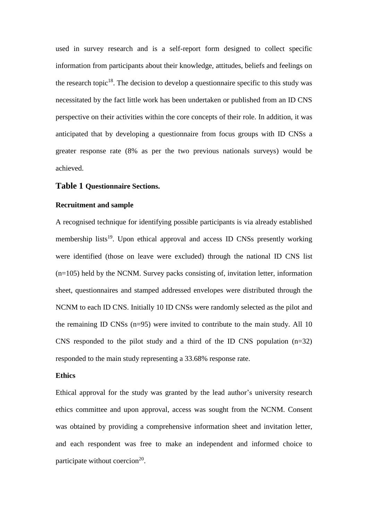used in survey research and is a self-report form designed to collect specific information from participants about their knowledge, attitudes, beliefs and feelings on the research topic<sup>18</sup>. The decision to develop a questionnaire specific to this study was necessitated by the fact little work has been undertaken or published from an ID CNS perspective on their activities within the core concepts of their role. In addition, it was anticipated that by developing a questionnaire from focus groups with ID CNSs a greater response rate (8% as per the two previous nationals surveys) would be achieved.

### **Table 1 Questionnaire Sections.**

#### **Recruitment and sample**

A recognised technique for identifying possible participants is via already established membership lists<sup>19</sup>. Upon ethical approval and access ID CNSs presently working were identified (those on leave were excluded) through the national ID CNS list (n=105) held by the NCNM. Survey packs consisting of, invitation letter, information sheet, questionnaires and stamped addressed envelopes were distributed through the NCNM to each ID CNS. Initially 10 ID CNSs were randomly selected as the pilot and the remaining ID CNSs  $(n=95)$  were invited to contribute to the main study. All 10 CNS responded to the pilot study and a third of the ID CNS population  $(n=32)$ responded to the main study representing a 33.68% response rate.

## **Ethics**

Ethical approval for the study was granted by the lead author's university research ethics committee and upon approval, access was sought from the NCNM. Consent was obtained by providing a comprehensive information sheet and invitation letter, and each respondent was free to make an independent and informed choice to participate without coercion<sup>20</sup>.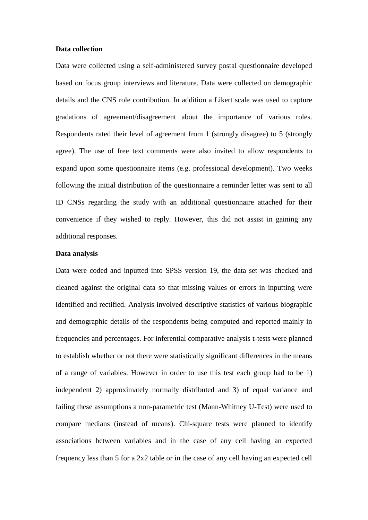#### **Data collection**

Data were collected using a self-administered survey postal questionnaire developed based on focus group interviews and literature. Data were collected on demographic details and the CNS role contribution. In addition a Likert scale was used to capture gradations of agreement/disagreement about the importance of various roles. Respondents rated their level of agreement from 1 (strongly disagree) to 5 (strongly agree). The use of free text comments were also invited to allow respondents to expand upon some questionnaire items (e.g. professional development). Two weeks following the initial distribution of the questionnaire a reminder letter was sent to all ID CNSs regarding the study with an additional questionnaire attached for their convenience if they wished to reply. However, this did not assist in gaining any additional responses.

## **Data analysis**

Data were coded and inputted into SPSS version 19, the data set was checked and cleaned against the original data so that missing values or errors in inputting were identified and rectified. Analysis involved descriptive statistics of various biographic and demographic details of the respondents being computed and reported mainly in frequencies and percentages. For inferential comparative analysis t-tests were planned to establish whether or not there were statistically significant differences in the means of a range of variables. However in order to use this test each group had to be 1) independent 2) approximately normally distributed and 3) of equal variance and failing these assumptions a non-parametric test (Mann-Whitney U-Test) were used to compare medians (instead of means). Chi-square tests were planned to identify associations between variables and in the case of any cell having an expected frequency less than 5 for a 2x2 table or in the case of any cell having an expected cell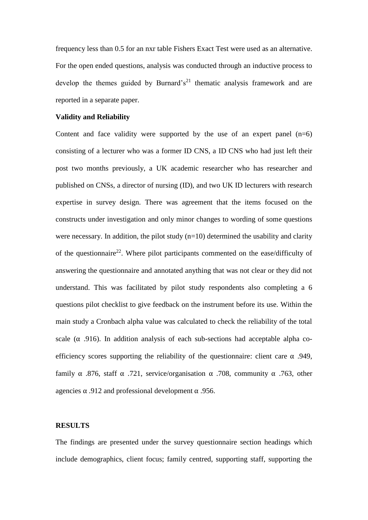frequency less than 0.5 for an nxr table Fishers Exact Test were used as an alternative. For the open ended questions, analysis was conducted through an inductive process to develop the themes guided by Burnard's<sup>21</sup> thematic analysis framework and are reported in a separate paper.

#### **Validity and Reliability**

Content and face validity were supported by the use of an expert panel  $(n=6)$ consisting of a lecturer who was a former ID CNS, a ID CNS who had just left their post two months previously, a UK academic researcher who has researcher and published on CNSs, a director of nursing (ID), and two UK ID lecturers with research expertise in survey design. There was agreement that the items focused on the constructs under investigation and only minor changes to wording of some questions were necessary. In addition, the pilot study  $(n=10)$  determined the usability and clarity of the questionnaire<sup>22</sup>. Where pilot participants commented on the ease/difficulty of answering the questionnaire and annotated anything that was not clear or they did not understand. This was facilitated by pilot study respondents also completing a 6 questions pilot checklist to give feedback on the instrument before its use. Within the main study a Cronbach alpha value was calculated to check the reliability of the total scale  $(\alpha$  .916). In addition analysis of each sub-sections had acceptable alpha coefficiency scores supporting the reliability of the questionnaire: client care  $\alpha$  .949, family  $\alpha$  .876, staff  $\alpha$  .721, service/organisation  $\alpha$  .708, community  $\alpha$  .763, other agencies  $\alpha$  .912 and professional development  $\alpha$  .956.

### **RESULTS**

The findings are presented under the survey questionnaire section headings which include demographics, client focus; family centred, supporting staff, supporting the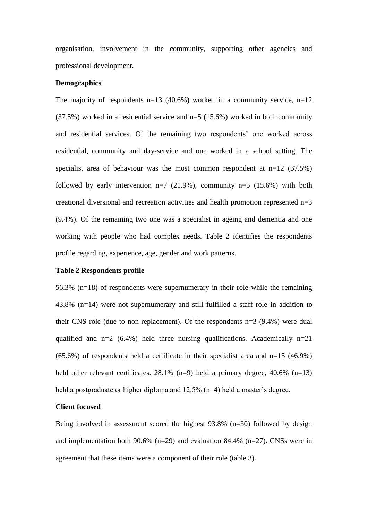organisation, involvement in the community, supporting other agencies and professional development.

#### **Demographics**

The majority of respondents  $n=13$  (40.6%) worked in a community service,  $n=12$ (37.5%) worked in a residential service and n=5 (15.6%) worked in both community and residential services. Of the remaining two respondents' one worked across residential, community and day-service and one worked in a school setting. The specialist area of behaviour was the most common respondent at  $n=12$  (37.5%) followed by early intervention  $n=7$  (21.9%), community  $n=5$  (15.6%) with both creational diversional and recreation activities and health promotion represented n=3 (9.4%). Of the remaining two one was a specialist in ageing and dementia and one working with people who had complex needs. Table 2 identifies the respondents profile regarding, experience, age, gender and work patterns.

### **Table 2 Respondents profile**

56.3% (n=18) of respondents were supernumerary in their role while the remaining 43.8% (n=14) were not supernumerary and still fulfilled a staff role in addition to their CNS role (due to non-replacement). Of the respondents n=3 (9.4%) were dual qualified and  $n=2$  (6.4%) held three nursing qualifications. Academically  $n=21$  $(65.6\%)$  of respondents held a certificate in their specialist area and n=15 (46.9%) held other relevant certificates. 28.1% (n=9) held a primary degree, 40.6% (n=13) held a postgraduate or higher diploma and 12.5% (n=4) held a master's degree.

### **Client focused**

Being involved in assessment scored the highest 93.8% (n=30) followed by design and implementation both 90.6% (n=29) and evaluation 84.4% (n=27). CNSs were in agreement that these items were a component of their role (table 3).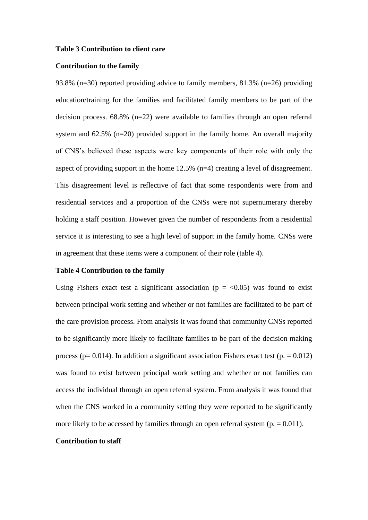#### **Table 3 Contribution to client care**

#### **Contribution to the family**

93.8% (n=30) reported providing advice to family members, 81.3% (n=26) providing education/training for the families and facilitated family members to be part of the decision process. 68.8% (n=22) were available to families through an open referral system and 62.5% (n=20) provided support in the family home. An overall majority of CNS's believed these aspects were key components of their role with only the aspect of providing support in the home 12.5% (n=4) creating a level of disagreement. This disagreement level is reflective of fact that some respondents were from and residential services and a proportion of the CNSs were not supernumerary thereby holding a staff position. However given the number of respondents from a residential service it is interesting to see a high level of support in the family home. CNSs were in agreement that these items were a component of their role (table 4).

#### **Table 4 Contribution to the family**

Using Fishers exact test a significant association ( $p = <0.05$ ) was found to exist between principal work setting and whether or not families are facilitated to be part of the care provision process. From analysis it was found that community CNSs reported to be significantly more likely to facilitate families to be part of the decision making process ( $p= 0.014$ ). In addition a significant association Fishers exact test ( $p = 0.012$ ) was found to exist between principal work setting and whether or not families can access the individual through an open referral system. From analysis it was found that when the CNS worked in a community setting they were reported to be significantly more likely to be accessed by families through an open referral system  $(p = 0.011)$ .

#### **Contribution to staff**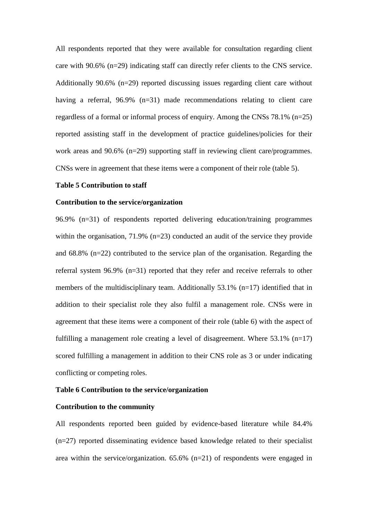All respondents reported that they were available for consultation regarding client care with 90.6% (n=29) indicating staff can directly refer clients to the CNS service. Additionally 90.6% (n=29) reported discussing issues regarding client care without having a referral, 96.9% (n=31) made recommendations relating to client care regardless of a formal or informal process of enquiry. Among the CNSs 78.1% (n=25) reported assisting staff in the development of practice guidelines/policies for their work areas and 90.6% (n=29) supporting staff in reviewing client care/programmes. CNSs were in agreement that these items were a component of their role (table 5).

## **Table 5 Contribution to staff**

#### **Contribution to the service/organization**

96.9% (n=31) of respondents reported delivering education/training programmes within the organisation, 71.9% (n=23) conducted an audit of the service they provide and 68.8% (n=22) contributed to the service plan of the organisation. Regarding the referral system 96.9% (n=31) reported that they refer and receive referrals to other members of the multidisciplinary team. Additionally  $53.1\%$  (n=17) identified that in addition to their specialist role they also fulfil a management role. CNSs were in agreement that these items were a component of their role (table 6) with the aspect of fulfilling a management role creating a level of disagreement. Where  $53.1\%$  (n=17) scored fulfilling a management in addition to their CNS role as 3 or under indicating conflicting or competing roles.

## **Table 6 Contribution to the service/organization**

#### **Contribution to the community**

All respondents reported been guided by evidence-based literature while 84.4% (n=27) reported disseminating evidence based knowledge related to their specialist area within the service/organization. 65.6% (n=21) of respondents were engaged in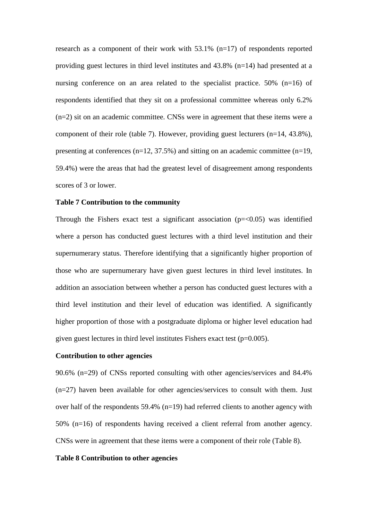research as a component of their work with 53.1% (n=17) of respondents reported providing guest lectures in third level institutes and 43.8% (n=14) had presented at a nursing conference on an area related to the specialist practice.  $50\%$  (n=16) of respondents identified that they sit on a professional committee whereas only 6.2% (n=2) sit on an academic committee. CNSs were in agreement that these items were a component of their role (table 7). However, providing guest lecturers (n=14, 43.8%), presenting at conferences  $(n=12, 37.5\%)$  and sitting on an academic committee  $(n=19, 19.5\%)$ 59.4%) were the areas that had the greatest level of disagreement among respondents scores of 3 or lower.

#### **Table 7 Contribution to the community**

Through the Fishers exact test a significant association  $(p=<0.05)$  was identified where a person has conducted guest lectures with a third level institution and their supernumerary status. Therefore identifying that a significantly higher proportion of those who are supernumerary have given guest lectures in third level institutes. In addition an association between whether a person has conducted guest lectures with a third level institution and their level of education was identified. A significantly higher proportion of those with a postgraduate diploma or higher level education had given guest lectures in third level institutes Fishers exact test (p=0.005).

## **Contribution to other agencies**

90.6% (n=29) of CNSs reported consulting with other agencies/services and 84.4% (n=27) haven been available for other agencies/services to consult with them. Just over half of the respondents 59.4% (n=19) had referred clients to another agency with 50% (n=16) of respondents having received a client referral from another agency. CNSs were in agreement that these items were a component of their role (Table 8).

## **Table 8 Contribution to other agencies**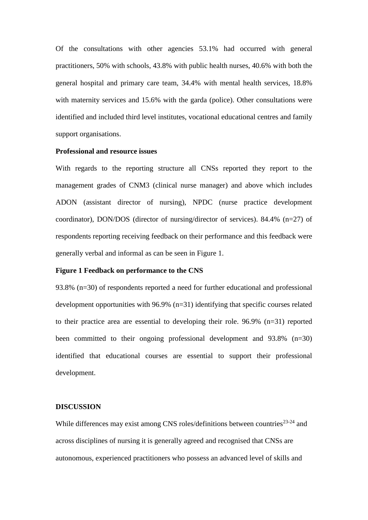Of the consultations with other agencies 53.1% had occurred with general practitioners, 50% with schools, 43.8% with public health nurses, 40.6% with both the general hospital and primary care team, 34.4% with mental health services, 18.8% with maternity services and 15.6% with the garda (police). Other consultations were identified and included third level institutes, vocational educational centres and family support organisations.

#### **Professional and resource issues**

With regards to the reporting structure all CNSs reported they report to the management grades of CNM3 (clinical nurse manager) and above which includes ADON (assistant director of nursing), NPDC (nurse practice development coordinator), DON/DOS (director of nursing/director of services). 84.4% (n=27) of respondents reporting receiving feedback on their performance and this feedback were generally verbal and informal as can be seen in Figure 1.

## **Figure 1 Feedback on performance to the CNS**

93.8% (n=30) of respondents reported a need for further educational and professional development opportunities with 96.9% (n=31) identifying that specific courses related to their practice area are essential to developing their role. 96.9% (n=31) reported been committed to their ongoing professional development and 93.8% (n=30) identified that educational courses are essential to support their professional development.

### **DISCUSSION**

While differences may exist among CNS roles/definitions between countries<sup>23-24</sup> and across disciplines of nursing it is generally agreed and recognised that CNSs are autonomous, experienced practitioners who possess an advanced level of skills and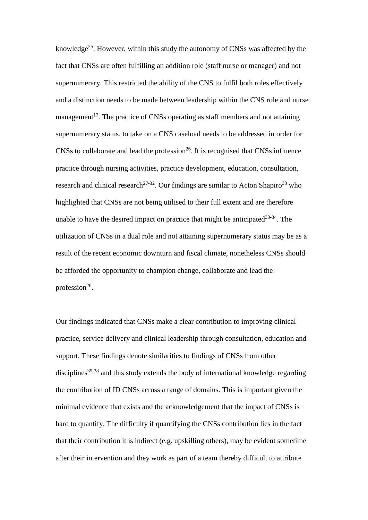knowledge<sup>25</sup>. However, within this study the autonomy of CNSs was affected by the fact that CNSs are often fulfilling an addition role (staff nurse or manager) and not supernumerary. This restricted the ability of the CNS to fulfil both roles effectively and a distinction needs to be made between leadership within the CNS role and nurse management<sup>17</sup>. The practice of CNSs operating as staff members and not attaining supernumerary status, to take on a CNS caseload needs to be addressed in order for  $CNSS$  to collaborate and lead the profession<sup>26</sup>. It is recognised that CNSs influence practice through nursing activities, practice development, education, consultation, research and clinical research<sup>27-32</sup>. Our findings are similar to Acton Shapiro<sup>33</sup> who highlighted that CNSs are not being utilised to their full extent and are therefore unable to have the desired impact on practice that might be anticipated  $33-34$ . The utilization of CNSs in a dual role and not attaining supernumerary status may be as a result of the recent economic downturn and fiscal climate, nonetheless CNSs should be afforded the opportunity to champion change, collaborate and lead the profession $26$ .

Our findings indicated that CNSs make a clear contribution to improving clinical practice, service delivery and clinical leadership through consultation, education and support. These findings denote similarities to findings of CNSs from other disciplines<sup>35-38</sup> and this study extends the body of international knowledge regarding the contribution of ID CNSs across a range of domains. This is important given the minimal evidence that exists and the acknowledgement that the impact of CNSs is hard to quantify. The difficulty if quantifying the CNSs contribution lies in the fact that their contribution it is indirect (e.g. upskilling others), may be evident sometime after their intervention and they work as part of a team thereby difficult to attribute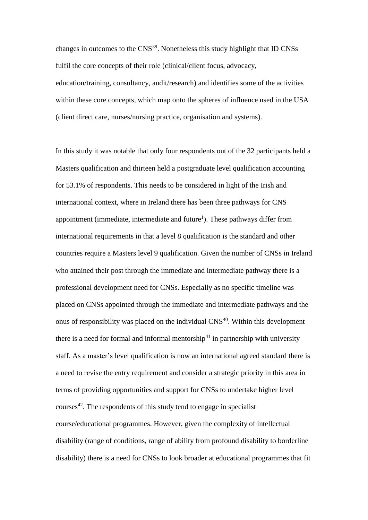changes in outcomes to the CNS<sup>39</sup>. Nonetheless this study highlight that ID CNSs fulfil the core concepts of their role (clinical/client focus, advocacy, education/training, consultancy, audit/research) and identifies some of the activities within these core concepts, which map onto the spheres of influence used in the USA (client direct care, nurses/nursing practice, organisation and systems).

In this study it was notable that only four respondents out of the 32 participants held a Masters qualification and thirteen held a postgraduate level qualification accounting for 53.1% of respondents. This needs to be considered in light of the Irish and international context, where in Ireland there has been three pathways for CNS appointment (immediate, intermediate and future<sup>1</sup>). These pathways differ from international requirements in that a level 8 qualification is the standard and other countries require a Masters level 9 qualification. Given the number of CNSs in Ireland who attained their post through the immediate and intermediate pathway there is a professional development need for CNSs. Especially as no specific timeline was placed on CNSs appointed through the immediate and intermediate pathways and the onus of responsibility was placed on the individual CNS<sup>40</sup>. Within this development there is a need for formal and informal mentorship<sup>41</sup> in partnership with university staff. As a master's level qualification is now an international agreed standard there is a need to revise the entry requirement and consider a strategic priority in this area in terms of providing opportunities and support for CNSs to undertake higher level courses $42$ . The respondents of this study tend to engage in specialist course/educational programmes. However, given the complexity of intellectual disability (range of conditions, range of ability from profound disability to borderline disability) there is a need for CNSs to look broader at educational programmes that fit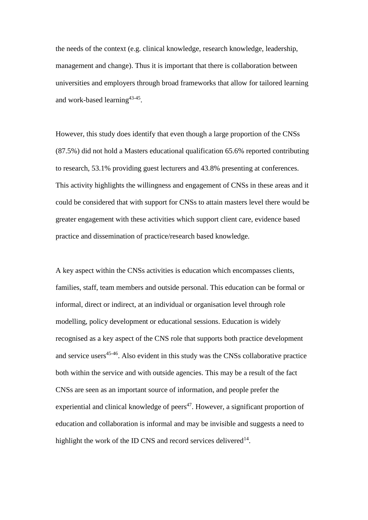the needs of the context (e.g. clinical knowledge, research knowledge, leadership, management and change). Thus it is important that there is collaboration between universities and employers through broad frameworks that allow for tailored learning and work-based learning<sup>43-45</sup>.

However, this study does identify that even though a large proportion of the CNSs (87.5%) did not hold a Masters educational qualification 65.6% reported contributing to research, 53.1% providing guest lecturers and 43.8% presenting at conferences. This activity highlights the willingness and engagement of CNSs in these areas and it could be considered that with support for CNSs to attain masters level there would be greater engagement with these activities which support client care, evidence based practice and dissemination of practice/research based knowledge.

A key aspect within the CNSs activities is education which encompasses clients, families, staff, team members and outside personal. This education can be formal or informal, direct or indirect, at an individual or organisation level through role modelling, policy development or educational sessions. Education is widely recognised as a key aspect of the CNS role that supports both practice development and service users<sup>45-46</sup>. Also evident in this study was the CNSs collaborative practice both within the service and with outside agencies. This may be a result of the fact CNSs are seen as an important source of information, and people prefer the experiential and clinical knowledge of peers $47$ . However, a significant proportion of education and collaboration is informal and may be invisible and suggests a need to highlight the work of the ID CNS and record services delivered $14$ .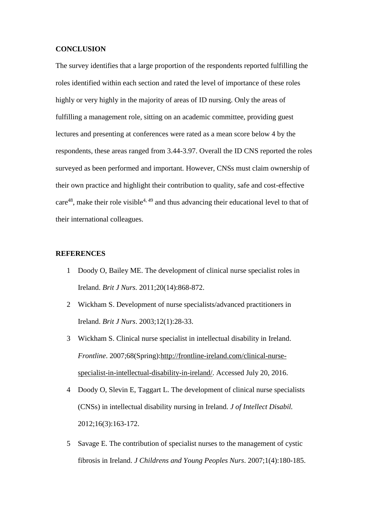#### **CONCLUSION**

The survey identifies that a large proportion of the respondents reported fulfilling the roles identified within each section and rated the level of importance of these roles highly or very highly in the majority of areas of ID nursing. Only the areas of fulfilling a management role, sitting on an academic committee, providing guest lectures and presenting at conferences were rated as a mean score below 4 by the respondents, these areas ranged from 3.44-3.97. Overall the ID CNS reported the roles surveyed as been performed and important. However, CNSs must claim ownership of their own practice and highlight their contribution to quality, safe and cost-effective care<sup>48</sup>, make their role visible<sup>4, 49</sup> and thus advancing their educational level to that of their international colleagues.

## **REFERENCES**

- 1 Doody O, Bailey ME. The development of clinical nurse specialist roles in Ireland. *Brit J Nurs.* 2011;20(14):868-872.
- 2 Wickham S. Development of nurse specialists/advanced practitioners in Ireland. *Brit J Nurs*. 2003;12(1):28-33.
- 3 Wickham S. Clinical nurse specialist in intellectual disability in Ireland. *Frontline*. 2007;68(Spring)[:http://frontline-ireland.com/clinical-nurse](http://frontline-ireland.com/clinical-nurse-specialist-in-intellectual-disability-in-ireland/)[specialist-in-intellectual-disability-in-ireland/.](http://frontline-ireland.com/clinical-nurse-specialist-in-intellectual-disability-in-ireland/) Accessed July 20, 2016.
- 4 Doody O, Slevin E, Taggart L. The development of clinical nurse specialists (CNSs) in intellectual disability nursing in Ireland. *J of Intellect Disabil.*  2012;16(3):163-172.
- 5 Savage E. The contribution of specialist nurses to the management of cystic fibrosis in Ireland. *J Childrens and Young Peoples Nurs*. 2007;1(4):180-185.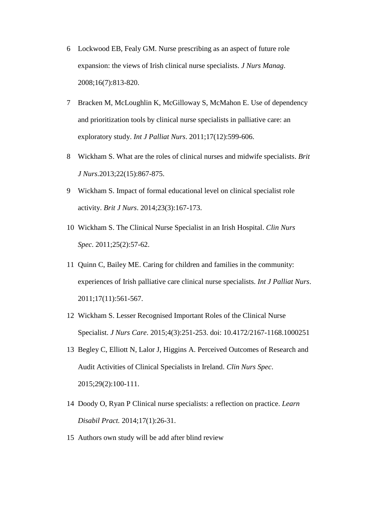- 6 Lockwood EB, Fealy GM. Nurse prescribing as an aspect of future role expansion: the views of Irish clinical nurse specialists. *J Nurs Manag*. 2008;16(7):813-820.
- 7 Bracken M, McLoughlin K, McGilloway S, McMahon E. Use of dependency and prioritization tools by clinical nurse specialists in palliative care: an exploratory study. *Int J Palliat Nurs*. 2011;17(12):599-606.
- 8 Wickham S. What are the roles of clinical nurses and midwife specialists. *Brit J Nurs*.2013;22(15):867-875.
- 9 Wickham S. Impact of formal educational level on clinical specialist role activity. *Brit J Nurs*. 2014;23(3):167-173.
- 10 Wickham S. The Clinical Nurse Specialist in an Irish Hospital. *Clin Nurs Spec*. 2011;25(2):57-62.
- 11 Quinn C, Bailey ME. Caring for children and families in the community: experiences of Irish palliative care clinical nurse specialists. *Int J Palliat Nurs*. 2011;17(11):561-567.
- 12 Wickham S. Lesser Recognised Important Roles of the Clinical Nurse Specialist. *J Nurs Care*. 2015;4(3):251-253. doi: 10.4172/2167-1168.1000251
- 13 Begley C, Elliott N, Lalor J, Higgins A. Perceived Outcomes of Research and Audit Activities of Clinical Specialists in Ireland. *Clin Nurs Spec*. 2015;29(2):100-111.
- 14 Doody O, Ryan P Clinical nurse specialists: a reflection on practice. *Learn Disabil Pract.* 2014;17(1):26-31.
- 15 Authors own study will be add after blind review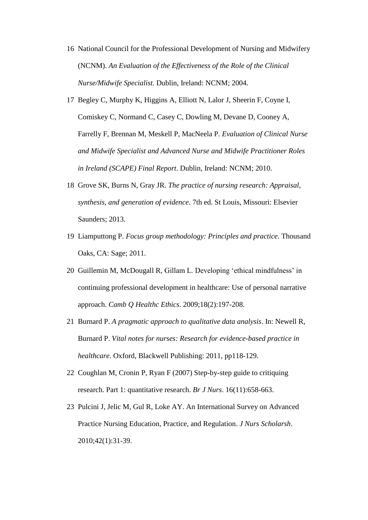- 16 National Council for the Professional Development of Nursing and Midwifery (NCNM). *An Evaluation of the Effectiveness of the Role of the Clinical Nurse/Midwife Specialist*. Dublin, Ireland: NCNM; 2004.
- 17 Begley C, Murphy K, Higgins A, Elliott N, Lalor J, Sheerin F, Coyne I, Comiskey C, Normand C, Casey C, Dowling M, Devane D, Cooney A, Farrelly F, Brennan M, Meskell P, MacNeela P*. Evaluation of Clinical Nurse and Midwife Specialist and Advanced Nurse and Midwife Practitioner Roles in Ireland (SCAPE) Final Report*. Dublin, Ireland: NCNM; 2010.
- 18 Grove SK, Burns N, Gray JR. *The practice of nursing research: Appraisal, synthesis, and generation of evidence*. 7th ed. St Louis, Missouri: Elsevier Saunders; 2013.
- 19 Liamputtong P. *Focus group methodology: Principles and practice*. Thousand Oaks, CA: Sage; 2011.
- 20 Guillemin M, McDougall R, Gillam L. Developing 'ethical mindfulness' in continuing professional development in healthcare: Use of personal narrative approach. *Camb Q Healthc Ethics*. 2009;18(2):197-208.
- 21 Burnard P. *A pragmatic approach to qualitative data analysis*. In: Newell R, Burnard P. *Vital notes for nurses: Research for evidence-based practice in healthcare*. Oxford, Blackwell Publishing: 2011, pp118-129.
- 22 Coughlan M, Cronin P, Ryan F (2007) Step-by-step guide to critiquing research. Part 1: quantitative research. *Br J Nurs*. 16(11):658-663.
- 23 Pulcini J, Jelic M, Gul R, Loke AY. An International Survey on Advanced Practice Nursing Education, Practice, and Regulation. *J Nurs Scholarsh*. 2010;42(1):31-39.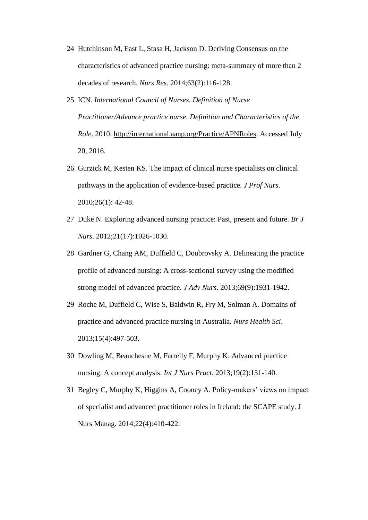- 24 Hutchinson M, East L, Stasa H, Jackson D. Deriving Consensus on the characteristics of advanced practice nursing: meta-summary of more than 2 decades of research. *Nurs Res*. 2014;63(2):116-128.
- 25 ICN. *International Council of Nurses. Definition of Nurse Practitioner/Advance practice nurse. Definition and Characteristics of the Role*. 2010. [http://international.aanp.org/Practice/APNRoles.](http://international.aanp.org/Practice/APNRoles) Accessed July 20, 2016.
- 26 Gurzick M, Kesten KS. The impact of clinical nurse specialists on clinical pathways in the application of evidence-based practice. *J Prof Nurs.* 2010;26(1): 42-48.
- 27 Duke N. Exploring advanced nursing practice: Past, present and future. *Br J Nurs*. 2012;21(17):1026-1030.
- 28 Gardner G, Chang AM, Duffield C, Doubrovsky A. Delineating the practice profile of advanced nursing: A cross-sectional survey using the modified strong model of advanced practice. *J Adv Nurs*. 2013;69(9):1931-1942.
- 29 Roche M, Duffield C, Wise S, Baldwin R, Fry M, Solman A. Domains of practice and advanced practice nursing in Australia. *Nurs Health Sci*. 2013;15(4):497-503.
- 30 Dowling M, Beauchesne M, Farrelly F, Murphy K. Advanced practice nursing: A concept analysis. *Int J Nurs Pract*. 2013;19(2):131-140.
- 31 Begley C, Murphy K, Higgins A, Cooney A. Policy-makers' views on impact of specialist and advanced practitioner roles in Ireland: the SCAPE study. J Nurs Manag. 2014;22(4):410-422.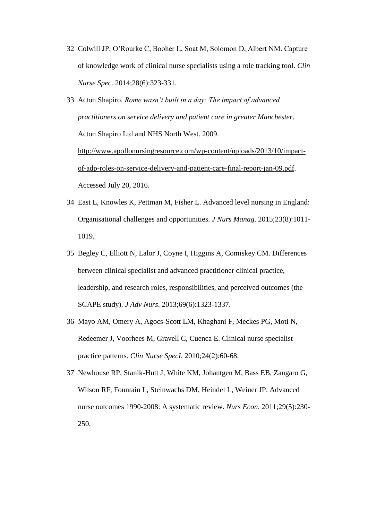- 32 Colwill JP, O'Rourke C, Booher L, Soat M, Solomon D, Albert NM. Capture of knowledge work of clinical nurse specialists using a role tracking tool. *Clin Nurse Spec*. 2014;28(6):323-331.
- 33 Acton Shapiro. *Rome wasn't built in a day: The impact of advanced practitioners on service delivery and patient care in greater Manchester*. Acton Shapiro Ltd and NHS North West. 2009. [http://www.apollonursingresource.com/wp-content/uploads/2013/10/impact](http://www.apollonursingresource.com/wp-content/uploads/2013/10/impact-of-adp-roles-on-service-delivery-and-patient-care-final-report-jan-09.pdf)[of-adp-roles-on-service-delivery-and-patient-care-final-report-jan-09.pdf.](http://www.apollonursingresource.com/wp-content/uploads/2013/10/impact-of-adp-roles-on-service-delivery-and-patient-care-final-report-jan-09.pdf) Accessed July 20, 2016.
- 34 East L, Knowles K, Pettman M, Fisher L. Advanced level nursing in England: Organisational challenges and opportunities. *J Nurs Manag*. 2015;23(8):1011- 1019.
- 35 Begley C, Elliott N, Lalor J, Coyne I, Higgins A, Comiskey CM. Differences between clinical specialist and advanced practitioner clinical practice, leadership, and research roles, responsibilities, and perceived outcomes (the SCAPE study). *J Adv Nurs*. 2013;69(6):1323-1337.
- 36 Mayo AM, Omery A, Agocs-Scott LM, Khaghani F, Meckes PG, Moti N, Redeemer J, Voorhees M, Gravell C, Cuenca E. Clinical nurse specialist practice patterns. *Clin Nurse SpecI.* 2010;24(2):60-68.
- 37 Newhouse RP, Stanik-Hutt J, White KM, Johantgen M, Bass EB, Zangaro G, Wilson RF, Fountain L, Steinwachs DM, Heindel L, Weiner JP. Advanced nurse outcomes 1990-2008: A systematic review. *Nurs Econ*. 2011;29(5):230- 250.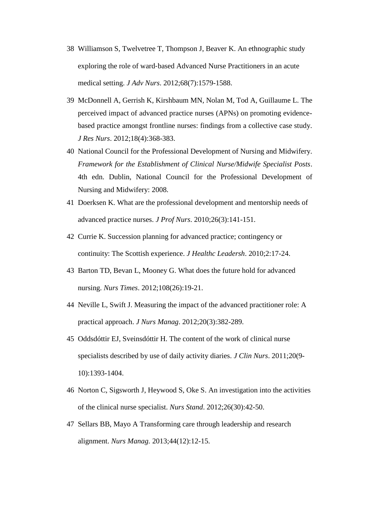- 38 Williamson S, Twelvetree T, Thompson J, Beaver K. An ethnographic study exploring the role of ward‐based Advanced Nurse Practitioners in an acute medical setting. *J Adv Nurs*. 2012;68(7):1579-1588.
- 39 McDonnell A, Gerrish K, Kirshbaum MN, Nolan M, Tod A, Guillaume L. The perceived impact of advanced practice nurses (APNs) on promoting evidencebased practice amongst frontline nurses: findings from a collective case study. *J Res Nurs*. 2012;18(4):368-383.
- 40 National Council for the Professional Development of Nursing and Midwifery. *Framework for the Establishment of Clinical Nurse/Midwife Specialist Posts*. 4th edn. Dublin, National Council for the Professional Development of Nursing and Midwifery: 2008.
- 41 Doerksen K. What are the professional development and mentorship needs of advanced practice nurses. *J Prof Nurs*. 2010;26(3):141-151.
- 42 Currie K. Succession planning for advanced practice; contingency or continuity: The Scottish experience. *J Healthc Leadersh*. 2010;2:17-24.
- 43 Barton TD, Bevan L, Mooney G. What does the future hold for advanced nursing. *Nurs Times*. 2012;108(26):19-21.
- 44 Neville L, Swift J. Measuring the impact of the advanced practitioner role: A practical approach. *J Nurs Manag*. 2012;20(3):382-289.
- 45 Oddsdóttir EJ, Sveinsdóttir H. The content of the work of clinical nurse specialists described by use of daily activity diaries. *J Clin Nurs*. 2011;20(9- 10):1393-1404.
- 46 Norton C, Sigsworth J, Heywood S, Oke S. An investigation into the activities of the clinical nurse specialist. *Nurs Stand*. 2012;26(30):42-50.
- 47 Sellars BB, Mayo A Transforming care through leadership and research alignment. *Nurs Manag.* 2013;44(12):12-15.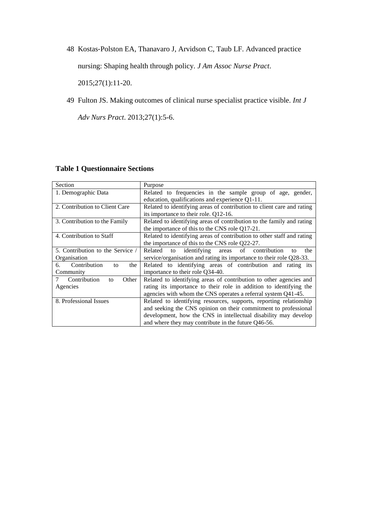48 Kostas‐Polston EA, Thanavaro J, Arvidson C, Taub LF. Advanced practice

nursing: Shaping health through policy. *J Am Assoc Nurse Pract*.

2015;27(1):11-20.

49 Fulton JS. Making outcomes of clinical nurse specialist practice visible. *Int J* 

*Adv Nurs Pract*. 2013;27(1):5-6.

## **Table 1 Questionnaire Sections**

| Section                          | Purpose                                                                |  |  |  |
|----------------------------------|------------------------------------------------------------------------|--|--|--|
| 1. Demographic Data              | Related to frequencies in the sample group of age, gender,             |  |  |  |
|                                  | education, qualifications and experience Q1-11.                        |  |  |  |
| 2. Contribution to Client Care   | Related to identifying areas of contribution to client care and rating |  |  |  |
|                                  | its importance to their role. Q12-16.                                  |  |  |  |
| 3. Contribution to the Family    | Related to identifying areas of contribution to the family and rating  |  |  |  |
|                                  | the importance of this to the CNS role Q17-21.                         |  |  |  |
| 4. Contribution to Staff         | Related to identifying areas of contribution to other staff and rating |  |  |  |
|                                  | the importance of this to the CNS role Q22-27.                         |  |  |  |
| 5. Contribution to the Service / | to identifying areas of contribution<br>Related<br>the<br>to           |  |  |  |
| Organisation                     | service/organisation and rating its importance to their role Q28-33.   |  |  |  |
| Contribution<br>6.<br>the<br>to  | Related to identifying areas of contribution and rating its            |  |  |  |
| Community                        | importance to their role Q34-40.                                       |  |  |  |
| Contribution<br>Other<br>to      | Related to identifying areas of contribution to other agencies and     |  |  |  |
| Agencies                         | rating its importance to their role in addition to identifying the     |  |  |  |
|                                  | agencies with whom the CNS operates a referral system Q41-45.          |  |  |  |
| 8. Professional Issues           | Related to identifying resources, supports, reporting relationship     |  |  |  |
|                                  | and seeking the CNS opinion on their commitment to professional        |  |  |  |
|                                  | development, how the CNS in intellectual disability may develop        |  |  |  |
|                                  | and where they may contribute in the future Q46-56.                    |  |  |  |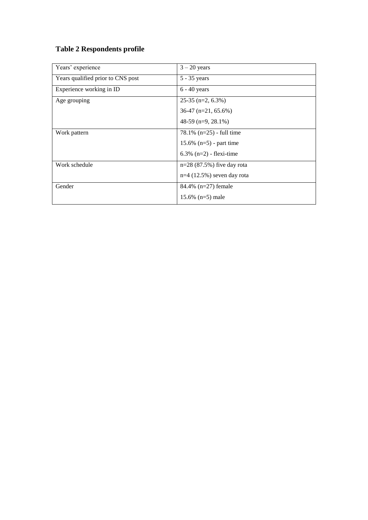# **Table 2 Respondents profile**

| Years' experience                 | $3 - 20$ years               |
|-----------------------------------|------------------------------|
| Years qualified prior to CNS post | 5 - 35 years                 |
| Experience working in ID          | $6 - 40$ years               |
| Age grouping                      | $25-35$ (n=2, 6.3%)          |
|                                   | $36-47$ (n=21, 65.6%)        |
|                                   | 48-59 (n=9, 28.1%)           |
| Work pattern                      | $78.1\%$ (n=25) - full time  |
|                                   | 15.6% $(n=5)$ - part time    |
|                                   | $6.3\%$ (n=2) - flexi-time   |
| Work schedule                     | $n=28(87.5%)$ five day rota  |
|                                   | $n=4$ (12.5%) seven day rota |
| Gender                            | 84.4% $(n=27)$ female        |
|                                   | 15.6% $(n=5)$ male           |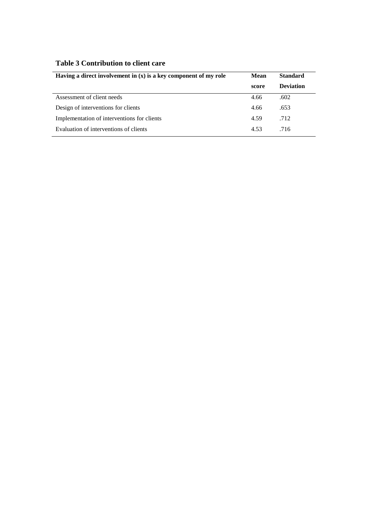## **Table 3 Contribution to client care**

| Having a direct involvement in $(x)$ is a key component of my role | <b>Standard</b><br>Mean |                  |
|--------------------------------------------------------------------|-------------------------|------------------|
|                                                                    | score                   | <b>Deviation</b> |
| Assessment of client needs                                         | 4.66                    | .602             |
| Design of interventions for clients                                | 4.66                    | .653             |
| Implementation of interventions for clients                        | 4.59                    | .712             |
| Evaluation of interventions of clients                             | 4.53                    | .716             |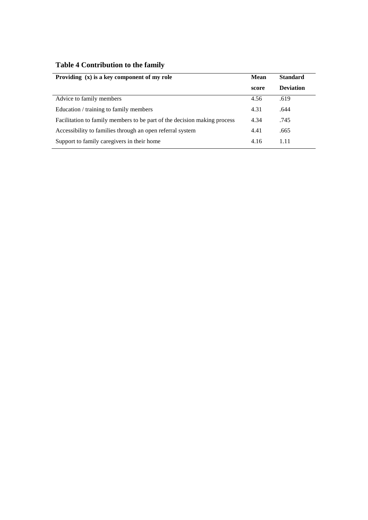|  | Table 4 Contribution to the family |  |  |
|--|------------------------------------|--|--|
|--|------------------------------------|--|--|

| Providing $(x)$ is a key component of my role                            | Mean  | <b>Standard</b>  |
|--------------------------------------------------------------------------|-------|------------------|
|                                                                          | score | <b>Deviation</b> |
| Advice to family members                                                 | 4.56  | .619             |
| Education / training to family members                                   | 4.31  | .644             |
| Facilitation to family members to be part of the decision making process | 4.34  | .745             |
| Accessibility to families through an open referral system                | 4.41  | .665             |
| Support to family caregivers in their home                               | 4.16  | 1.11             |
|                                                                          |       |                  |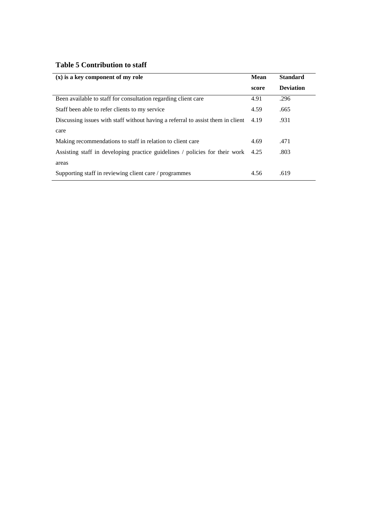## **Table 5 Contribution to staff**

| $(x)$ is a key component of my role                                             | Mean  | <b>Standard</b>  |
|---------------------------------------------------------------------------------|-------|------------------|
|                                                                                 | score | <b>Deviation</b> |
| Been available to staff for consultation regarding client care                  | 4.91  | .296             |
| Staff been able to refer clients to my service                                  | 4.59  | .665             |
| Discussing issues with staff without having a referral to assist them in client | 4.19  | .931             |
| care                                                                            |       |                  |
| Making recommendations to staff in relation to client care                      | 4.69  | .471             |
| Assisting staff in developing practice guidelines / policies for their work     | 4.25  | .803             |
| areas                                                                           |       |                  |
| Supporting staff in reviewing client care / programmes                          | 4.56  | .619             |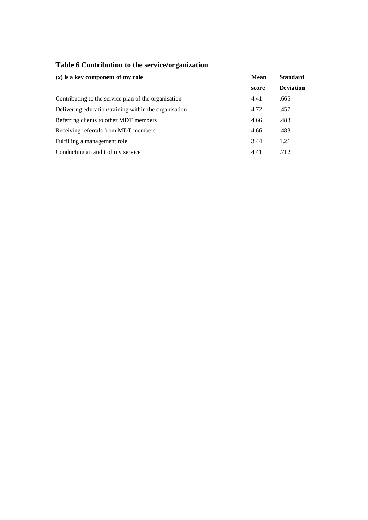| $(x)$ is a key component of my role                   |       | <b>Standard</b>  |
|-------------------------------------------------------|-------|------------------|
|                                                       | score | <b>Deviation</b> |
| Contributing to the service plan of the organisation  | 4.41  | .665             |
| Delivering education/training within the organisation | 4.72  | .457             |
| Referring clients to other MDT members                | 4.66  | .483             |
| Receiving referrals from MDT members                  | 4.66  | .483             |
| Fulfilling a management role                          | 3.44  | 1.21             |
| Conducting an audit of my service                     | 4.41  | .712             |

# **Table 6 Contribution to the service/organization**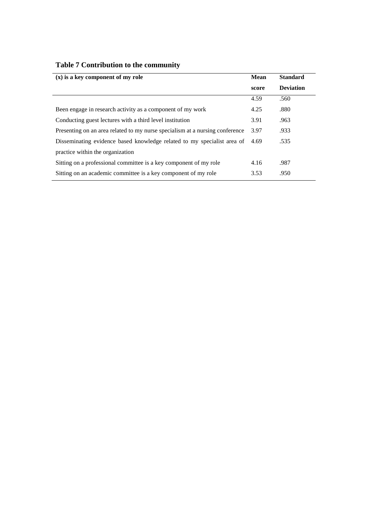| $(x)$ is a key component of my role                                          |       | <b>Standard</b>  |
|------------------------------------------------------------------------------|-------|------------------|
|                                                                              | score | <b>Deviation</b> |
|                                                                              | 4.59  | .560             |
| Been engage in research activity as a component of my work                   | 4.25  | .880             |
| Conducting guest lectures with a third level institution                     | 3.91  | .963             |
| Presenting on an area related to my nurse specialism at a nursing conference | 3.97  | .933             |
| Disseminating evidence based knowledge related to my specialist area of      | 4.69  | .535             |
| practice within the organization                                             |       |                  |
| Sitting on a professional committee is a key component of my role            | 4.16  | .987             |
| Sitting on an academic committee is a key component of my role               | 3.53  | .950             |

# **Table 7 Contribution to the community**